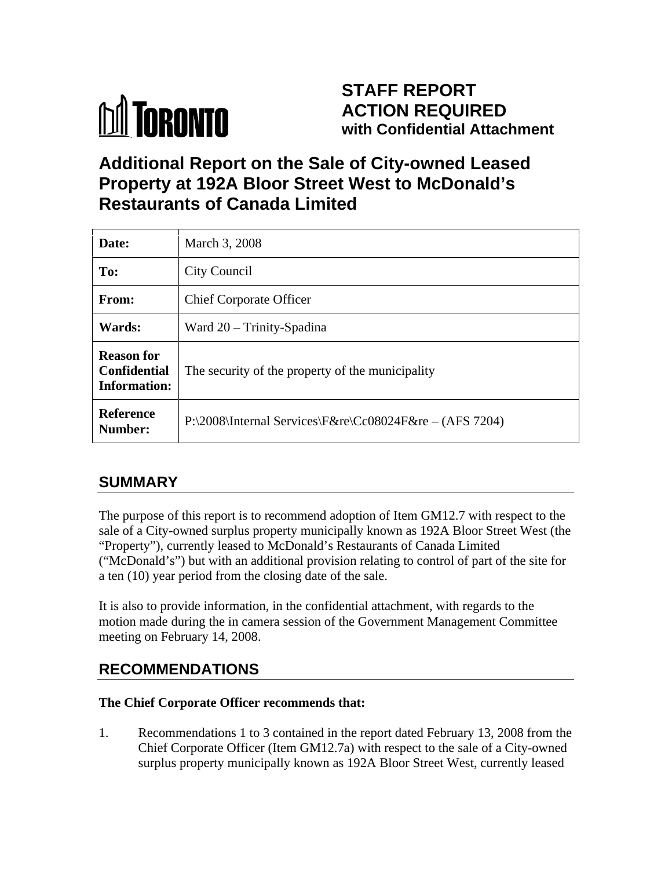# **M** TORONTO

## **STAFF REPORT ACTION REQUIRED with Confidential Attachment**

## **Additional Report on the Sale of City-owned Leased Property at 192A Bloor Street West to McDonald's Restaurants of Canada Limited**

| Date:                             | March 3, 2008                                                                   |
|-----------------------------------|---------------------------------------------------------------------------------|
| To:                               | City Council                                                                    |
| From:                             | <b>Chief Corporate Officer</b>                                                  |
| Wards:                            | Ward 20 - Trinity-Spadina                                                       |
| <b>Reason for</b><br>Information: | $\sqrt{2}$ Confidential The security of the property of the municipality        |
| Reference<br><b>Number:</b>       | $\rm P:\2008\left[$ Internal Services $\frac{F\&re}{Cc08024}$ F&re – (AFS 7204) |

### **SUMMARY**

The purpose of this report is to recommend adoption of Item GM12.7 with respect to the sale of a City-owned surplus property municipally known as 192A Bloor Street West (the "Property"), currently leased to McDonald's Restaurants of Canada Limited ("McDonald's") but with an additional provision relating to control of part of the site for a ten (10) year period from the closing date of the sale.

It is also to provide information, in the confidential attachment, with regards to the motion made during the in camera session of the Government Management Committee meeting on February 14, 2008.

## **RECOMMENDATIONS**

#### **The Chief Corporate Officer recommends that:**

1. Recommendations 1 to 3 contained in the report dated February 13, 2008 from the Chief Corporate Officer (Item GM12.7a) with respect to the sale of a City-owned surplus property municipally known as 192A Bloor Street West, currently leased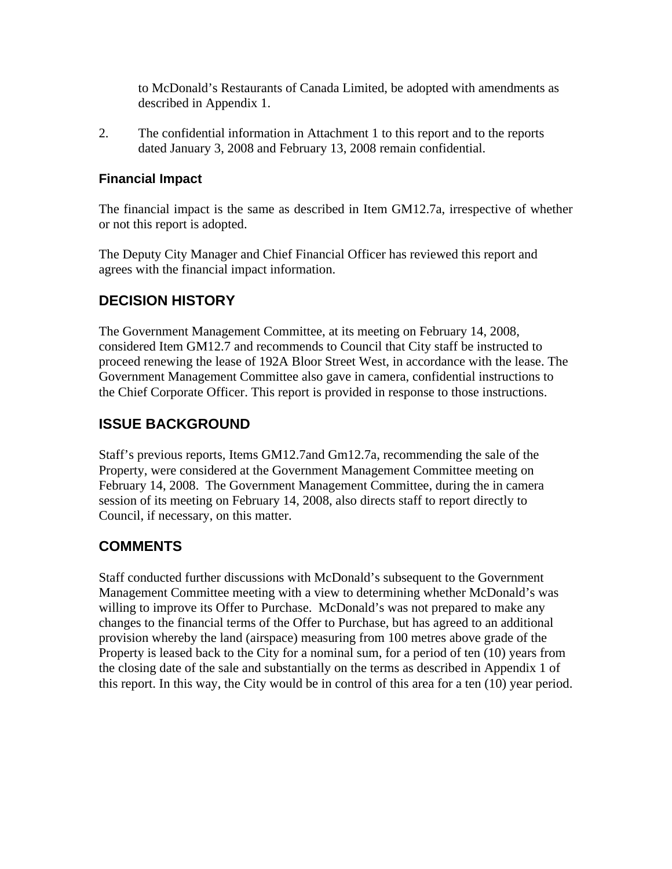to McDonald's Restaurants of Canada Limited, be adopted with amendments as described in Appendix 1.

2. The confidential information in Attachment 1 to this report and to the reports dated January 3, 2008 and February 13, 2008 remain confidential.

#### **Financial Impact**

The financial impact is the same as described in Item GM12.7a, irrespective of whether or not this report is adopted.

The Deputy City Manager and Chief Financial Officer has reviewed this report and agrees with the financial impact information.

#### **DECISION HISTORY**

The Government Management Committee, at its meeting on February 14, 2008, considered Item GM12.7 and recommends to Council that City staff be instructed to proceed renewing the lease of 192A Bloor Street West, in accordance with the lease. The Government Management Committee also gave in camera, confidential instructions to the Chief Corporate Officer. This report is provided in response to those instructions.

#### **ISSUE BACKGROUND**

Staff's previous reports, Items GM12.7and Gm12.7a, recommending the sale of the Property, were considered at the Government Management Committee meeting on February 14, 2008. The Government Management Committee, during the in camera session of its meeting on February 14, 2008, also directs staff to report directly to Council, if necessary, on this matter.

#### **COMMENTS**

Staff conducted further discussions with McDonald's subsequent to the Government Management Committee meeting with a view to determining whether McDonald's was willing to improve its Offer to Purchase. McDonald's was not prepared to make any changes to the financial terms of the Offer to Purchase, but has agreed to an additional provision whereby the land (airspace) measuring from 100 metres above grade of the Property is leased back to the City for a nominal sum, for a period of ten (10) years from the closing date of the sale and substantially on the terms as described in Appendix 1 of this report. In this way, the City would be in control of this area for a ten (10) year period.